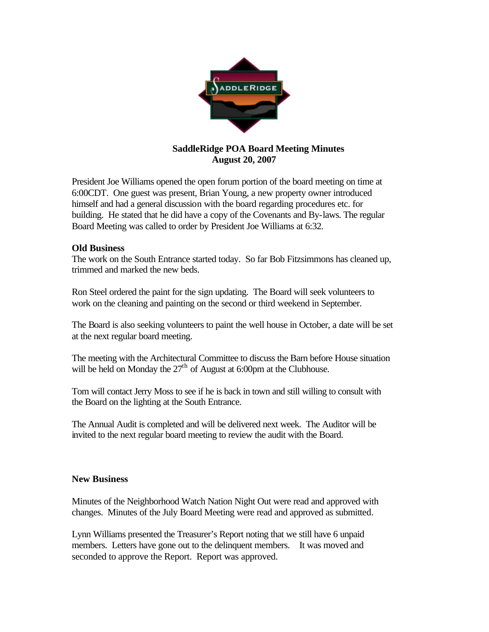

## **SaddleRidge POA Board Meeting Minutes August 20, 2007**

President Joe Williams opened the open forum portion of the board meeting on time at 6:00CDT. One guest was present, Brian Young, a new property owner introduced himself and had a general discussion with the board regarding procedures etc. for building. He stated that he did have a copy of the Covenants and By-laws. The regular Board Meeting was called to order by President Joe Williams at 6:32.

## **Old Business**

The work on the South Entrance started today. So far Bob Fitzsimmons has cleaned up, trimmed and marked the new beds.

Ron Steel ordered the paint for the sign updating. The Board will seek volunteers to work on the cleaning and painting on the second or third weekend in September.

The Board is also seeking volunteers to paint the well house in October, a date will be set at the next regular board meeting.

The meeting with the Architectural Committee to discuss the Barn before House situation will be held on Monday the  $27<sup>th</sup>$  of August at 6:00pm at the Clubhouse.

Tom will contact Jerry Moss to see if he is back in town and still willing to consult with the Board on the lighting at the South Entrance.

The Annual Audit is completed and will be delivered next week. The Auditor will be invited to the next regular board meeting to review the audit with the Board.

## **New Business**

Minutes of the Neighborhood Watch Nation Night Out were read and approved with changes. Minutes of the July Board Meeting were read and approved as submitted.

Lynn Williams presented the Treasurer's Report noting that we still have 6 unpaid members. Letters have gone out to the delinquent members. It was moved and seconded to approve the Report. Report was approved.